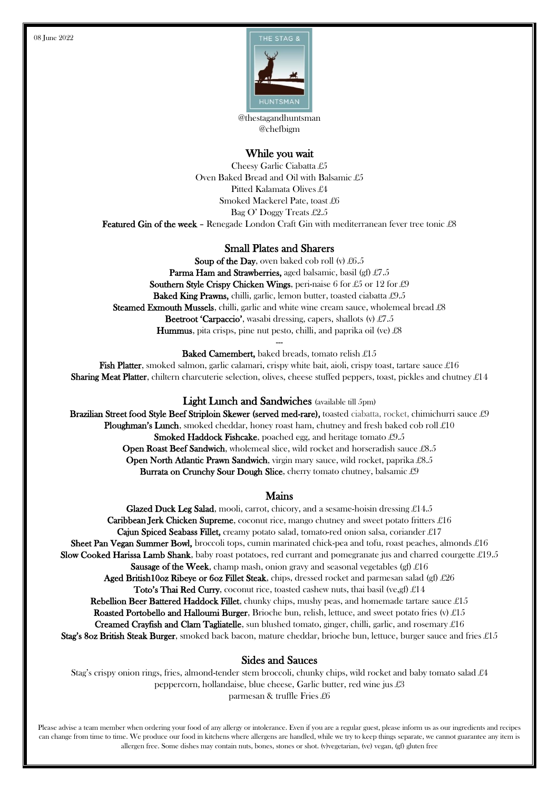

@thestagandhuntsman @chefbigm

# While you wait

Cheesy Garlic Ciabatta £5 Oven Baked Bread and Oil with Balsamic £5 Pitted Kalamata Olives £4 Smoked Mackerel Pate, toast £6 Bag O' Doggy Treats £2.5 Featured Gin of the week - Renegade London Craft Gin with mediterranean fever tree tonic £8

## Small Plates and Sharers

Soup of the Day, oven baked cob roll (v)  $£6.5$ Parma Ham and Strawberries, aged balsamic, basil (gf) £7.5 **Southern Style Crispy Chicken Wings, peri-naise 6 for £5 or 12 for £9** Baked King Prawns, chilli, garlic, lemon butter, toasted ciabatta £9.5 Steamed Exmouth Mussels, chilli, garlic and white wine cream sauce, wholemeal bread £8 **Beetroot 'Carpaccio'**, wasabi dressing, capers, shallots (v)  $\pounds$ 7.5 **Hummus**, pita crisps, pine nut pesto, chilli, and paprika oil (ve)  $\pounds 8$ ---

Baked Camembert, baked breads, tomato relish £15

Fish Platter, smoked salmon, garlic calamari, crispy white bait, aioli, crispy toast, tartare sauce  $\pounds 16$ **Sharing Meat Platter**, chiltern charcuterie selection, olives, cheese stuffed peppers, toast, pickles and chutney  $\pounds 14$ 

## Light Lunch and Sandwiches (available till 5pm)

Brazilian Street food Style Beef Striploin Skewer (served med-rare), toasted ciabatta, rocket, chimichurri sauce £9 Ploughman's Lunch, smoked cheddar, honey roast ham, chutney and fresh baked cob roll  $\pounds 10$ Smoked Haddock Fishcake, poached egg, and heritage tomato £9.5 Open Roast Beef Sandwich, wholemeal slice, wild rocket and horseradish sauce £8.5 Open North Atlantic Prawn Sandwich, virgin mary sauce, wild rocket, paprika £8.5 Burrata on Crunchy Sour Dough Slice, cherry tomato chutney, balsamic £9

## Mains

Glazed Duck Leg Salad, mooli, carrot, chicory, and a sesame-hoisin dressing  $£14.5$ Caribbean Jerk Chicken Supreme, coconut rice, mango chutney and sweet potato fritters £16 Cajun Spiced Seabass Fillet, creamy potato salad, tomato-red onion salsa, coriander  $\pounds$ 17 **Sheet Pan Vegan Summer Bowl,** broccoli tops, cumin marinated chick-pea and tofu, roast peaches, almonds  $\pounds 16$ Slow Cooked Harissa Lamb Shank, baby roast potatoes, red currant and pomegranate jus and charred courgette £19.5 **Sausage of the Week**, champ mash, onion gravy and seasonal vegetables (gf)  $\pounds 16$ Aged British10oz Ribeye or 6oz Fillet Steak, chips, dressed rocket and parmesan salad (gf)  $\pounds 26$ Toto's Thai Red Curry, coconut rice, toasted cashew nuts, thai basil (ve, gf)  $\pounds 14$ Rebellion Beer Battered Haddock Fillet, chunky chips, mushy peas, and homemade tartare sauce £15 Roasted Portobello and Halloumi Burger, Brioche bun, relish, lettuce, and sweet potato fries (v) £15 **Creamed Crayfish and Clam Tagliatelle**, sun blushed tomato, ginger, chilli, garlic, and rosemary £16 Stag's 8oz British Steak Burger, smoked back bacon, mature cheddar, brioche bun, lettuce, burger sauce and fries  $\pounds 15$ 

#### Sides and Sauces

Stag's crispy onion rings, fries, almond-tender stem broccoli, chunky chips, wild rocket and baby tomato salad £4 peppercorn, hollandaise, blue cheese, Garlic butter, red wine jus £3 parmesan & truffle Fries £6

Please advise a team member when ordering your food of any allergy or intolerance. Even if you are a regular guest, please inform us as our ingredients and recipes can change from time to time. We produce our food in kitchens where allergens are handled, while we try to keep things separate, we cannot guarantee any item is allergen free. Some dishes may contain nuts, bones, stones or shot. (v)vegetarian, (ve) vegan, (gf) gluten free